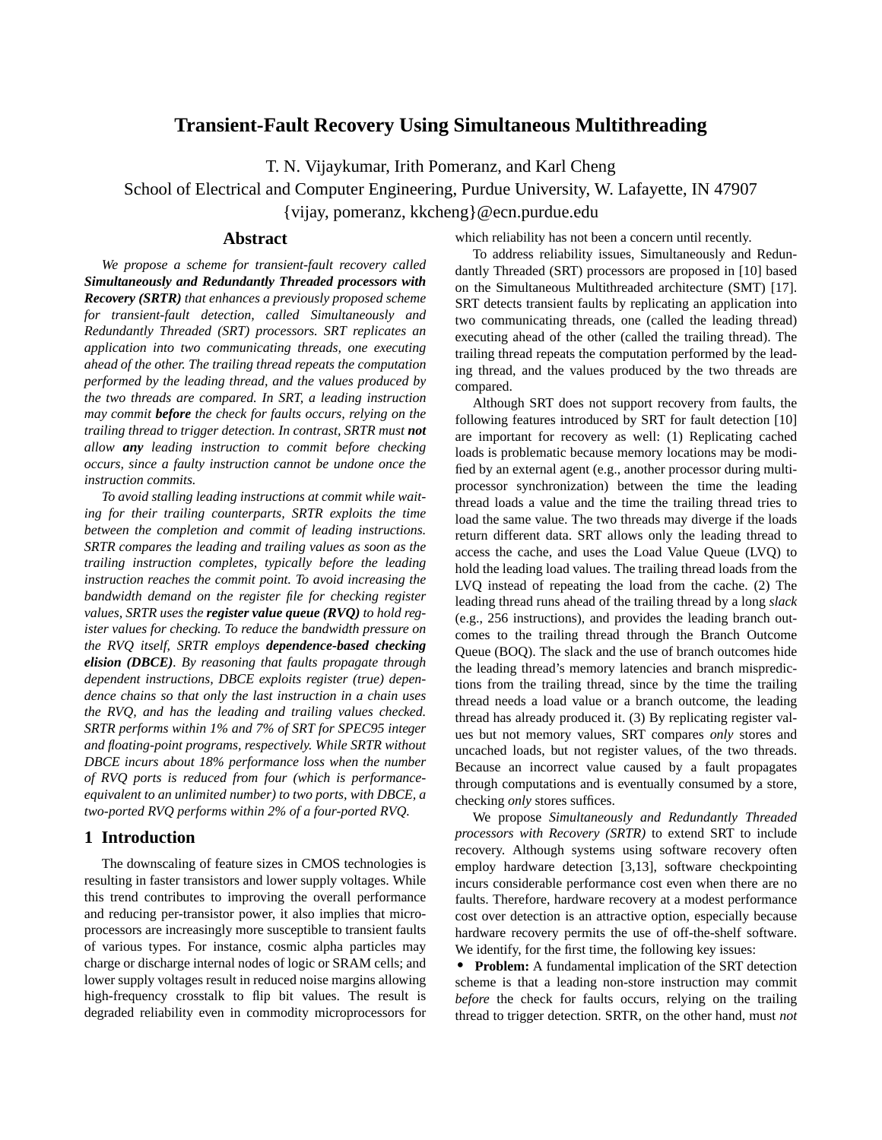# **Transient-Fault Recovery Using Simultaneous Multithreading**

T. N. Vijaykumar, Irith Pomeranz, and Karl Cheng

School of Electrical and Computer Engineering, Purdue University, W. Lafayette, IN 47907

{vijay, pomeranz, kkcheng}@ecn.purdue.edu

# **Abstract**

*We propose a scheme for transient-fault recovery called Simultaneously and Redundantly Threaded processors with Recovery (SRTR) that enhances a previously proposed scheme for transient-fault detection, called Simultaneously and Redundantly Threaded (SRT) processors. SRT replicates an application into two communicating threads, one executing ahead of the other. The trailing thread repeats the computation performed by the leading thread, and the values produced by the two threads are compared. In SRT, a leading instruction may commit before the check for faults occurs, relying on the trailing thread to trigger detection. In contrast, SRTR must not allow any leading instruction to commit before checking occurs, since a faulty instruction cannot be undone once the instruction commits.*

*To avoid stalling leading instructions at commit while waiting for their trailing counterparts, SRTR exploits the time between the completion and commit of leading instructions. SRTR compares the leading and trailing values as soon as the trailing instruction completes, typically before the leading instruction reaches the commit point. To avoid increasing the bandwidth demand on the register file for checking register values, SRTR uses the register value queue (RVQ) to hold register values for checking. To reduce the bandwidth pressure on the RVQ itself, SRTR employs dependence-based checking elision (DBCE). By reasoning that faults propagate through dependent instructions, DBCE exploits register (true) dependence chains so that only the last instruction in a chain uses the RVQ, and has the leading and trailing values checked. SRTR performs within 1% and 7% of SRT for SPEC95 integer and floating-point programs, respectively. While SRTR without DBCE incurs about 18% performance loss when the number of RVQ ports is reduced from four (which is performanceequivalent to an unlimited number) to two ports, with DBCE, a two-ported RVQ performs within 2% of a four-ported RVQ.*

# <span id="page-0-0"></span>**1 Introduction**

The downscaling of feature sizes in CMOS technologies is resulting in faster transistors and lower supply voltages. While this trend contributes to improving the overall performance and reducing per-transistor power, it also implies that microprocessors are increasingly more susceptible to transient faults of various types. For instance, cosmic alpha particles may charge or discharge internal nodes of logic or SRAM cells; and lower supply voltages result in reduced noise margins allowing high-frequency crosstalk to flip bit values. The result is degraded reliability even in commodity microprocessors for which reliability has not been a concern until recently.

To address reliability issues, Simultaneously and Redundantly Threaded (SRT) processors are proposed in [10] based on the Simultaneous Multithreaded architecture (SMT) [17]. SRT detects transient faults by replicating an application into two communicating threads, one (called the leading thread) executing ahead of the other (called the trailing thread). The trailing thread repeats the computation performed by the leading thread, and the values produced by the two threads are compared.

Although SRT does not support recovery from faults, the following features introduced by SRT for fault detection [10] are important for recovery as well: (1) Replicating cached loads is problematic because memory locations may be modified by an external agent (e.g., another processor during multiprocessor synchronization) between the time the leading thread loads a value and the time the trailing thread tries to load the same value. The two threads may diverge if the loads return different data. SRT allows only the leading thread to access the cache, and uses the Load Value Queue (LVQ) to hold the leading load values. The trailing thread loads from the LVQ instead of repeating the load from the cache. (2) The leading thread runs ahead of the trailing thread by a long *slack* (e.g., 256 instructions), and provides the leading branch outcomes to the trailing thread through the Branch Outcome Queue (BOQ). The slack and the use of branch outcomes hide the leading thread's memory latencies and branch mispredictions from the trailing thread, since by the time the trailing thread needs a load value or a branch outcome, the leading thread has already produced it. (3) By replicating register values but not memory values, SRT compares *only* stores and uncached loads, but not register values, of the two threads. Because an incorrect value caused by a fault propagates through computations and is eventually consumed by a store, checking *only* stores suffices.

We propose *Simultaneously and Redundantly Threaded processors with Recovery (SRTR)* to extend SRT to include recovery. Although systems using software recovery often employ hardware detection [3,13], software checkpointing incurs considerable performance cost even when there are no faults. Therefore, hardware recovery at a modest performance cost over detection is an attractive option, especially because hardware recovery permits the use of off-the-shelf software. We identify, for the first time, the following key issues:

**• Problem:** A fundamental implication of the SRT detection scheme is that a leading non-store instruction may commit *before* the check for faults occurs, relying on the trailing thread to trigger detection. SRTR, on the other hand, must *not*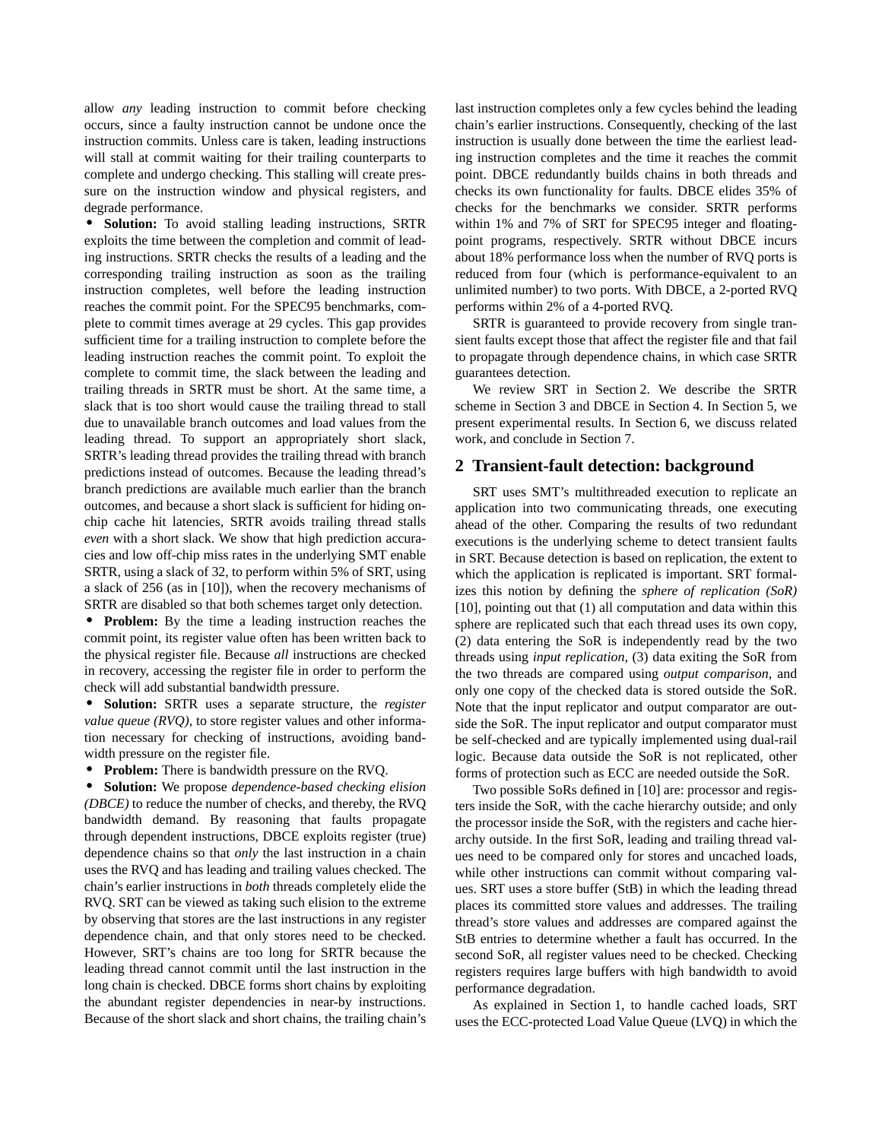allow *any* leading instruction to commit before checking occurs, since a faulty instruction cannot be undone once the instruction commits. Unless care is taken, leading instructions will stall at commit waiting for their trailing counterparts to complete and undergo checking. This stalling will create pressure on the instruction window and physical registers, and degrade performance.

**• Solution:** To avoid stalling leading instructions, SRTR exploits the time between the completion and commit of leading instructions. SRTR checks the results of a leading and the corresponding trailing instruction as soon as the trailing instruction completes, well before the leading instruction reaches the commit point. For the SPEC95 benchmarks, complete to commit times average at 29 cycles. This gap provides sufficient time for a trailing instruction to complete before the leading instruction reaches the commit point. To exploit the complete to commit time, the slack between the leading and trailing threads in SRTR must be short. At the same time, a slack that is too short would cause the trailing thread to stall due to unavailable branch outcomes and load values from the leading thread. To support an appropriately short slack, SRTR's leading thread provides the trailing thread with branch predictions instead of outcomes. Because the leading thread's branch predictions are available much earlier than the branch outcomes, and because a short slack is sufficient for hiding onchip cache hit latencies, SRTR avoids trailing thread stalls *even* with a short slack. We show that high prediction accuracies and low off-chip miss rates in the underlying SMT enable SRTR, using a slack of 32, to perform within 5% of SRT, using a slack of 256 (as in [10]), when the recovery mechanisms of SRTR are disabled so that both schemes target only detection.

**• Problem:** By the time a leading instruction reaches the commit point, its register value often has been written back to the physical register file. Because *all* instructions are checked in recovery, accessing the register file in order to perform the check will add substantial bandwidth pressure.

**• Solution:** SRTR uses a separate structure, the *register value queue (RVQ)*, to store register values and other information necessary for checking of instructions, avoiding bandwidth pressure on the register file.

**• Problem:** There is bandwidth pressure on the RVQ.

**• Solution:** We propose *dependence-based checking elision (DBCE)* to reduce the number of checks, and thereby, the RVQ bandwidth demand. By reasoning that faults propagate through dependent instructions, DBCE exploits register (true) dependence chains so that *only* the last instruction in a chain uses the RVQ and has leading and trailing values checked. The chain's earlier instructions in *both* threads completely elide the RVQ. SRT can be viewed as taking such elision to the extreme by observing that stores are the last instructions in any register dependence chain, and that only stores need to be checked. However, SRT's chains are too long for SRTR because the leading thread cannot commit until the last instruction in the long chain is checked. DBCE forms short chains by exploiting the abundant register dependencies in near-by instructions. Because of the short slack and short chains, the trailing chain's last instruction completes only a few cycles behind the leading chain's earlier instructions. Consequently, checking of the last instruction is usually done between the time the earliest leading instruction completes and the time it reaches the commit point. DBCE redundantly builds chains in both threads and checks its own functionality for faults. DBCE elides 35% of checks for the benchmarks we consider. SRTR performs within 1% and 7% of SRT for SPEC95 integer and floatingpoint programs, respectively. SRTR without DBCE incurs about 18% performance loss when the number of RVQ ports is reduced from four (which is performance-equivalent to an unlimited number) to two ports. With DBCE, a 2-ported RVQ performs within 2% of a 4-ported RVQ.

SRTR is guaranteed to provide recovery from single transient faults except those that affect the register file and that fail to propagate through dependence chains, in which case SRTR guarantees detection.

We review SRT in [Section 2](#page-1-0). We describe the SRTR scheme in [Section 3](#page-2-0) and DBCE in [Section 4.](#page-4-0) In [Section 5](#page-7-0), we present experimental results. In [Section 6,](#page-10-0) we discuss related work, and conclude in [Section 7](#page-11-0).

# <span id="page-1-0"></span>**2 Transient-fault detection: background**

SRT uses SMT's multithreaded execution to replicate an application into two communicating threads, one executing ahead of the other. Comparing the results of two redundant executions is the underlying scheme to detect transient faults in SRT. Because detection is based on replication, the extent to which the application is replicated is important. SRT formalizes this notion by defining the *sphere of replication (SoR)* [10], pointing out that (1) all computation and data within this sphere are replicated such that each thread uses its own copy, (2) data entering the SoR is independently read by the two threads using *input replication*, (3) data exiting the SoR from the two threads are compared using *output comparison*, and only one copy of the checked data is stored outside the SoR. Note that the input replicator and output comparator are outside the SoR. The input replicator and output comparator must be self-checked and are typically implemented using dual-rail logic. Because data outside the SoR is not replicated, other forms of protection such as ECC are needed outside the SoR.

Two possible SoRs defined in [10] are: processor and registers inside the SoR, with the cache hierarchy outside; and only the processor inside the SoR, with the registers and cache hierarchy outside. In the first SoR, leading and trailing thread values need to be compared only for stores and uncached loads, while other instructions can commit without comparing values. SRT uses a store buffer (StB) in which the leading thread places its committed store values and addresses. The trailing thread's store values and addresses are compared against the StB entries to determine whether a fault has occurred. In the second SoR, all register values need to be checked. Checking registers requires large buffers with high bandwidth to avoid performance degradation.

As explained in [Section 1](#page-0-0), to handle cached loads, SRT uses the ECC-protected Load Value Queue (LVQ) in which the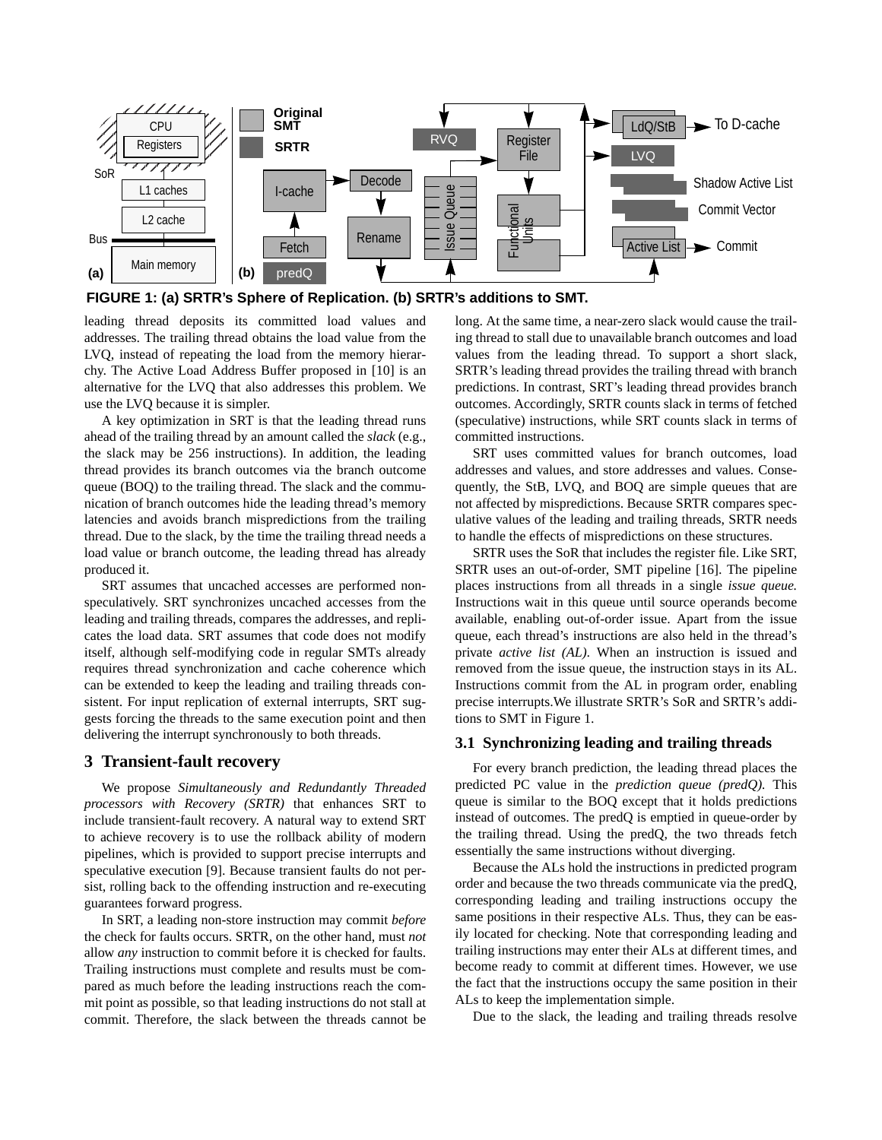

<span id="page-2-1"></span>**FIGURE 1: (a) SRTR's Sphere of Replication. (b) SRTR's additions to SMT.**

leading thread deposits its committed load values and addresses. The trailing thread obtains the load value from the LVQ, instead of repeating the load from the memory hierarchy. The Active Load Address Buffer proposed in [10] is an alternative for the LVQ that also addresses this problem. We use the LVQ because it is simpler.

A key optimization in SRT is that the leading thread runs ahead of the trailing thread by an amount called the *slack* (e.g., the slack may be 256 instructions). In addition, the leading thread provides its branch outcomes via the branch outcome queue (BOQ) to the trailing thread. The slack and the communication of branch outcomes hide the leading thread's memory latencies and avoids branch mispredictions from the trailing thread. Due to the slack, by the time the trailing thread needs a load value or branch outcome, the leading thread has already produced it.

SRT assumes that uncached accesses are performed nonspeculatively. SRT synchronizes uncached accesses from the leading and trailing threads, compares the addresses, and replicates the load data. SRT assumes that code does not modify itself, although self-modifying code in regular SMTs already requires thread synchronization and cache coherence which can be extended to keep the leading and trailing threads consistent. For input replication of external interrupts, SRT suggests forcing the threads to the same execution point and then delivering the interrupt synchronously to both threads.

# <span id="page-2-0"></span>**3 Transient-fault recovery**

We propose *Simultaneously and Redundantly Threaded processors with Recovery (SRTR)* that enhances SRT to include transient-fault recovery. A natural way to extend SRT to achieve recovery is to use the rollback ability of modern pipelines, which is provided to support precise interrupts and speculative execution [9]. Because transient faults do not persist, rolling back to the offending instruction and re-executing guarantees forward progress.

In SRT, a leading non-store instruction may commit *before* the check for faults occurs. SRTR, on the other hand, must *not* allow *any* instruction to commit before it is checked for faults. Trailing instructions must complete and results must be compared as much before the leading instructions reach the commit point as possible, so that leading instructions do not stall at commit. Therefore, the slack between the threads cannot be

long. At the same time, a near-zero slack would cause the trailing thread to stall due to unavailable branch outcomes and load values from the leading thread. To support a short slack, SRTR's leading thread provides the trailing thread with branch predictions. In contrast, SRT's leading thread provides branch outcomes. Accordingly, SRTR counts slack in terms of fetched (speculative) instructions, while SRT counts slack in terms of committed instructions.

SRT uses committed values for branch outcomes, load addresses and values, and store addresses and values. Consequently, the StB, LVQ, and BOQ are simple queues that are not affected by mispredictions. Because SRTR compares speculative values of the leading and trailing threads, SRTR needs to handle the effects of mispredictions on these structures.

SRTR uses the SoR that includes the register file. Like SRT, SRTR uses an out-of-order, SMT pipeline [16]. The pipeline places instructions from all threads in a single *issue queue.* Instructions wait in this queue until source operands become available, enabling out-of-order issue. Apart from the issue queue, each thread's instructions are also held in the thread's private *active list (AL)*. When an instruction is issued and removed from the issue queue, the instruction stays in its AL. Instructions commit from the AL in program order, enabling precise interrupts.We illustrate SRTR's SoR and SRTR's additions to SMT in [Figure 1](#page-2-1).

# **3.1 Synchronizing leading and trailing threads**

For every branch prediction, the leading thread places the predicted PC value in the *prediction queue (predQ).* This queue is similar to the BOQ except that it holds predictions instead of outcomes. The predQ is emptied in queue-order by the trailing thread. Using the predQ, the two threads fetch essentially the same instructions without diverging.

Because the ALs hold the instructions in predicted program order and because the two threads communicate via the predQ, corresponding leading and trailing instructions occupy the same positions in their respective ALs. Thus, they can be easily located for checking. Note that corresponding leading and trailing instructions may enter their ALs at different times, and become ready to commit at different times. However, we use the fact that the instructions occupy the same position in their ALs to keep the implementation simple.

Due to the slack, the leading and trailing threads resolve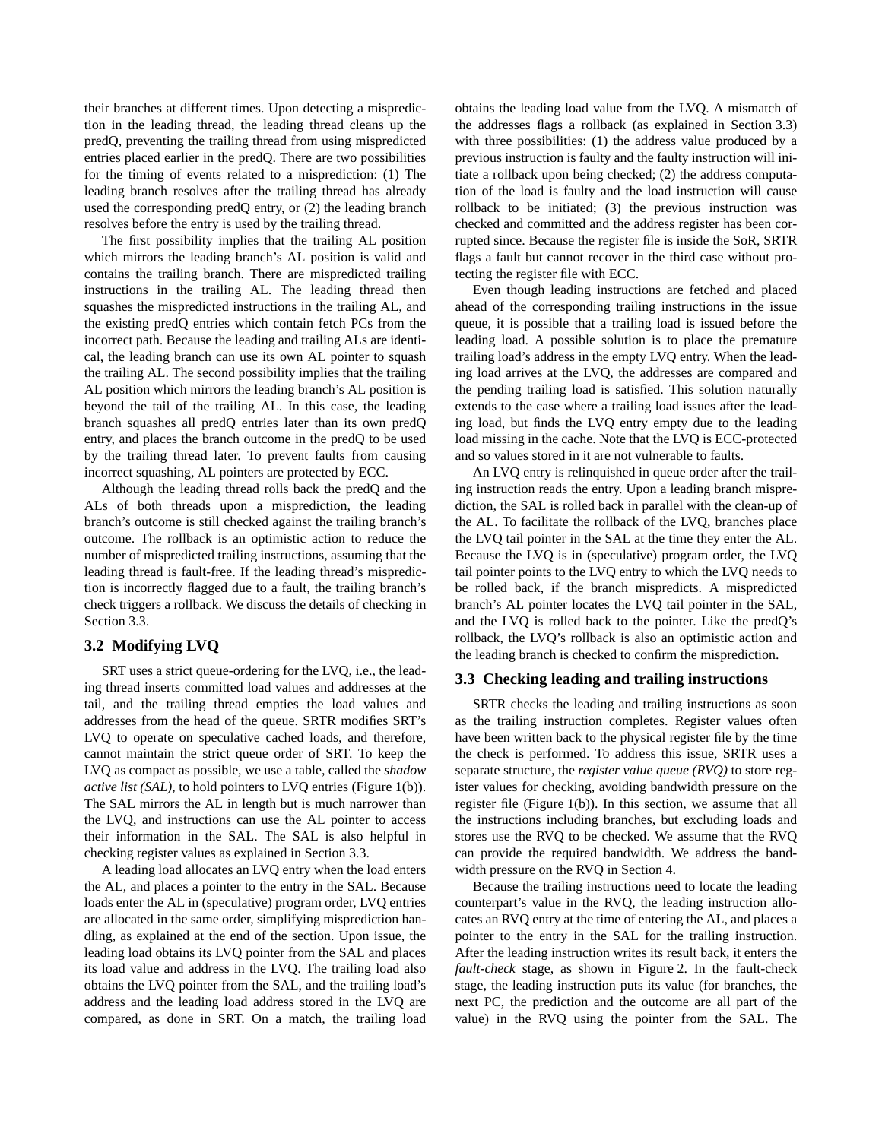their branches at different times. Upon detecting a misprediction in the leading thread, the leading thread cleans up the predQ, preventing the trailing thread from using mispredicted entries placed earlier in the predQ. There are two possibilities for the timing of events related to a misprediction: (1) The leading branch resolves after the trailing thread has already used the corresponding predQ entry, or (2) the leading branch resolves before the entry is used by the trailing thread.

The first possibility implies that the trailing AL position which mirrors the leading branch's AL position is valid and contains the trailing branch. There are mispredicted trailing instructions in the trailing AL. The leading thread then squashes the mispredicted instructions in the trailing AL, and the existing predQ entries which contain fetch PCs from the incorrect path. Because the leading and trailing ALs are identical, the leading branch can use its own AL pointer to squash the trailing AL. The second possibility implies that the trailing AL position which mirrors the leading branch's AL position is beyond the tail of the trailing AL. In this case, the leading branch squashes all predQ entries later than its own predQ entry, and places the branch outcome in the predQ to be used by the trailing thread later. To prevent faults from causing incorrect squashing, AL pointers are protected by ECC.

Although the leading thread rolls back the predQ and the ALs of both threads upon a misprediction, the leading branch's outcome is still checked against the trailing branch's outcome. The rollback is an optimistic action to reduce the number of mispredicted trailing instructions, assuming that the leading thread is fault-free. If the leading thread's misprediction is incorrectly flagged due to a fault, the trailing branch's check triggers a rollback. We discuss the details of checking in [Section 3.3](#page-3-0).

## **3.2 Modifying LVQ**

SRT uses a strict queue-ordering for the LVQ, i.e., the leading thread inserts committed load values and addresses at the tail, and the trailing thread empties the load values and addresses from the head of the queue. SRTR modifies SRT's LVQ to operate on speculative cached loads, and therefore, cannot maintain the strict queue order of SRT. To keep the LVQ as compact as possible, we use a table, called the *shadow active list (SAL)*, to hold pointers to LVQ entries [\(Figure 1](#page-2-1)(b)). The SAL mirrors the AL in length but is much narrower than the LVQ, and instructions can use the AL pointer to access their information in the SAL. The SAL is also helpful in checking register values as explained in [Section 3.3](#page-3-0).

A leading load allocates an LVQ entry when the load enters the AL, and places a pointer to the entry in the SAL. Because loads enter the AL in (speculative) program order, LVQ entries are allocated in the same order, simplifying misprediction handling, as explained at the end of the section. Upon issue, the leading load obtains its LVQ pointer from the SAL and places its load value and address in the LVQ. The trailing load also obtains the LVQ pointer from the SAL, and the trailing load's address and the leading load address stored in the LVQ are compared, as done in SRT. On a match, the trailing load obtains the leading load value from the LVQ. A mismatch of the addresses flags a rollback (as explained in [Section 3.3](#page-3-0)) with three possibilities: (1) the address value produced by a previous instruction is faulty and the faulty instruction will initiate a rollback upon being checked; (2) the address computation of the load is faulty and the load instruction will cause rollback to be initiated; (3) the previous instruction was checked and committed and the address register has been corrupted since. Because the register file is inside the SoR, SRTR flags a fault but cannot recover in the third case without protecting the register file with ECC.

Even though leading instructions are fetched and placed ahead of the corresponding trailing instructions in the issue queue, it is possible that a trailing load is issued before the leading load. A possible solution is to place the premature trailing load's address in the empty LVQ entry. When the leading load arrives at the LVQ, the addresses are compared and the pending trailing load is satisfied. This solution naturally extends to the case where a trailing load issues after the leading load, but finds the LVQ entry empty due to the leading load missing in the cache. Note that the LVQ is ECC-protected and so values stored in it are not vulnerable to faults.

An LVQ entry is relinquished in queue order after the trailing instruction reads the entry. Upon a leading branch misprediction, the SAL is rolled back in parallel with the clean-up of the AL. To facilitate the rollback of the LVQ, branches place the LVQ tail pointer in the SAL at the time they enter the AL. Because the LVQ is in (speculative) program order, the LVQ tail pointer points to the LVQ entry to which the LVQ needs to be rolled back, if the branch mispredicts. A mispredicted branch's AL pointer locates the LVQ tail pointer in the SAL, and the LVQ is rolled back to the pointer. Like the predQ's rollback, the LVQ's rollback is also an optimistic action and the leading branch is checked to confirm the misprediction.

## <span id="page-3-0"></span>**3.3 Checking leading and trailing instructions**

SRTR checks the leading and trailing instructions as soon as the trailing instruction completes. Register values often have been written back to the physical register file by the time the check is performed. To address this issue, SRTR uses a separate structure, the *register value queue (RVQ)* to store register values for checking, avoiding bandwidth pressure on the register file ([Figure 1\(](#page-2-1)b)). In this section, we assume that all the instructions including branches, but excluding loads and stores use the RVQ to be checked. We assume that the RVQ can provide the required bandwidth. We address the bandwidth pressure on the RVQ in Section 4.

Because the trailing instructions need to locate the leading counterpart's value in the RVQ, the leading instruction allocates an RVQ entry at the time of entering the AL, and places a pointer to the entry in the SAL for the trailing instruction. After the leading instruction writes its result back, it enters the *fault-check* stage, as shown in [Figure 2.](#page-4-1) In the fault-check stage, the leading instruction puts its value (for branches, the next PC, the prediction and the outcome are all part of the value) in the RVQ using the pointer from the SAL. The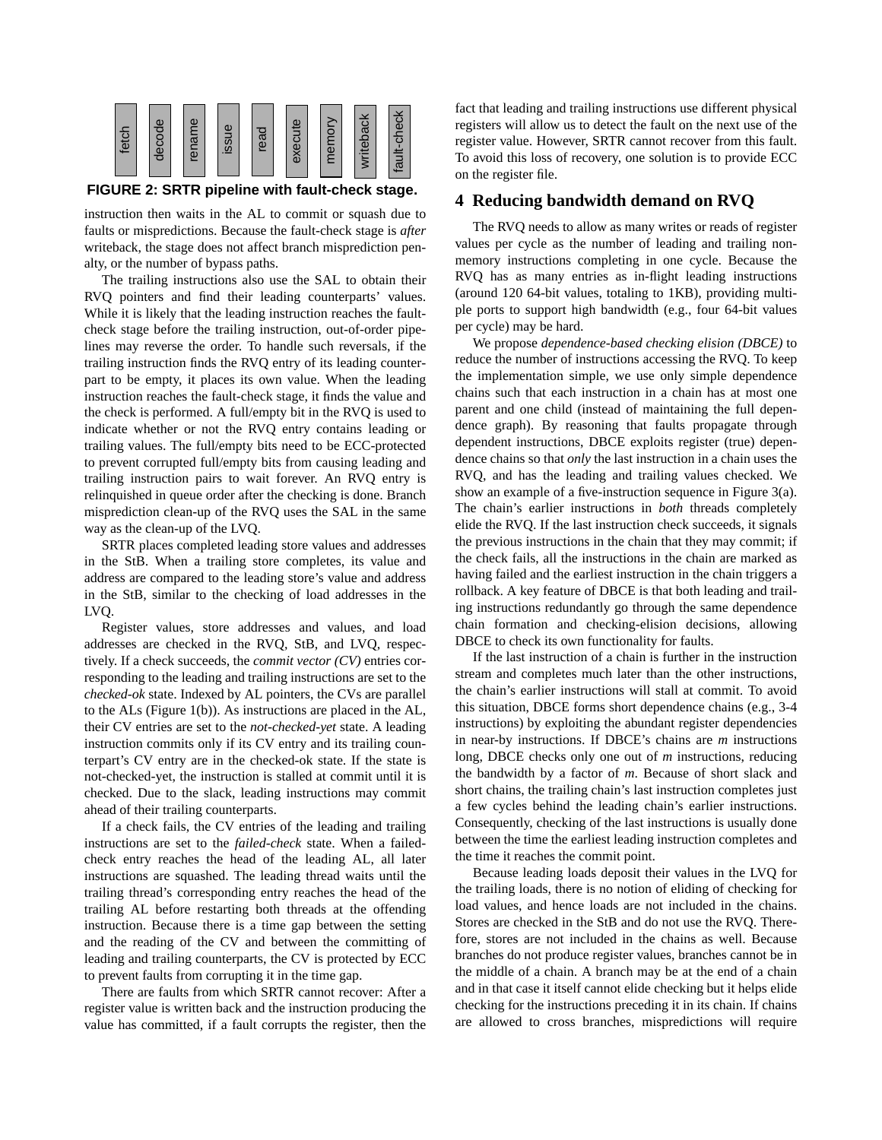

<span id="page-4-1"></span>**FIGURE 2: SRTR pipeline with fault-check stage.**

instruction then waits in the AL to commit or squash due to faults or mispredictions. Because the fault-check stage is *after* writeback, the stage does not affect branch misprediction penalty, or the number of bypass paths.

The trailing instructions also use the SAL to obtain their RVQ pointers and find their leading counterparts' values. While it is likely that the leading instruction reaches the faultcheck stage before the trailing instruction, out-of-order pipelines may reverse the order. To handle such reversals, if the trailing instruction finds the RVQ entry of its leading counterpart to be empty, it places its own value. When the leading instruction reaches the fault-check stage, it finds the value and the check is performed. A full/empty bit in the RVQ is used to indicate whether or not the RVQ entry contains leading or trailing values. The full/empty bits need to be ECC-protected to prevent corrupted full/empty bits from causing leading and trailing instruction pairs to wait forever. An RVQ entry is relinquished in queue order after the checking is done. Branch misprediction clean-up of the RVQ uses the SAL in the same way as the clean-up of the LVQ.

SRTR places completed leading store values and addresses in the StB. When a trailing store completes, its value and address are compared to the leading store's value and address in the StB, similar to the checking of load addresses in the LVQ.

Register values, store addresses and values, and load addresses are checked in the RVQ, StB, and LVQ, respectively. If a check succeeds, the *commit vector (CV)* entries corresponding to the leading and trailing instructions are set to the *checked-ok* state. Indexed by AL pointers, the CVs are parallel to the ALs ([Figure 1](#page-2-1)(b)). As instructions are placed in the AL, their CV entries are set to the *not-checked-yet* state. A leading instruction commits only if its CV entry and its trailing counterpart's CV entry are in the checked-ok state. If the state is not-checked-yet, the instruction is stalled at commit until it is checked. Due to the slack, leading instructions may commit ahead of their trailing counterparts.

If a check fails, the CV entries of the leading and trailing instructions are set to the *failed-check* state. When a failedcheck entry reaches the head of the leading AL, all later instructions are squashed. The leading thread waits until the trailing thread's corresponding entry reaches the head of the trailing AL before restarting both threads at the offending instruction. Because there is a time gap between the setting and the reading of the CV and between the committing of leading and trailing counterparts, the CV is protected by ECC to prevent faults from corrupting it in the time gap.

There are faults from which SRTR cannot recover: After a register value is written back and the instruction producing the value has committed, if a fault corrupts the register, then the fact that leading and trailing instructions use different physical registers will allow us to detect the fault on the next use of the register value. However, SRTR cannot recover from this fault. To avoid this loss of recovery, one solution is to provide ECC on the register file.

# <span id="page-4-0"></span>**4 Reducing bandwidth demand on RVQ**

The RVQ needs to allow as many writes or reads of register values per cycle as the number of leading and trailing nonmemory instructions completing in one cycle. Because the RVQ has as many entries as in-flight leading instructions (around 120 64-bit values, totaling to 1KB), providing multiple ports to support high bandwidth (e.g., four 64-bit values per cycle) may be hard.

We propose *dependence-based checking elision (DBCE)* to reduce the number of instructions accessing the RVQ. To keep the implementation simple, we use only simple dependence chains such that each instruction in a chain has at most one parent and one child (instead of maintaining the full dependence graph). By reasoning that faults propagate through dependent instructions, DBCE exploits register (true) dependence chains so that *only* the last instruction in a chain uses the RVQ, and has the leading and trailing values checked. We show an example of a five-instruction sequence in [Figure 3\(](#page-5-0)a). The chain's earlier instructions in *both* threads completely elide the RVQ. If the last instruction check succeeds, it signals the previous instructions in the chain that they may commit; if the check fails, all the instructions in the chain are marked as having failed and the earliest instruction in the chain triggers a rollback. A key feature of DBCE is that both leading and trailing instructions redundantly go through the same dependence chain formation and checking-elision decisions, allowing DBCE to check its own functionality for faults.

If the last instruction of a chain is further in the instruction stream and completes much later than the other instructions, the chain's earlier instructions will stall at commit. To avoid this situation, DBCE forms short dependence chains (e.g., 3-4 instructions) by exploiting the abundant register dependencies in near-by instructions. If DBCE's chains are *m* instructions long, DBCE checks only one out of *m* instructions, reducing the bandwidth by a factor of *m*. Because of short slack and short chains, the trailing chain's last instruction completes just a few cycles behind the leading chain's earlier instructions. Consequently, checking of the last instructions is usually done between the time the earliest leading instruction completes and the time it reaches the commit point.

Because leading loads deposit their values in the LVQ for the trailing loads, there is no notion of eliding of checking for load values, and hence loads are not included in the chains. Stores are checked in the StB and do not use the RVQ. Therefore, stores are not included in the chains as well. Because branches do not produce register values, branches cannot be in the middle of a chain. A branch may be at the end of a chain and in that case it itself cannot elide checking but it helps elide checking for the instructions preceding it in its chain. If chains are allowed to cross branches, mispredictions will require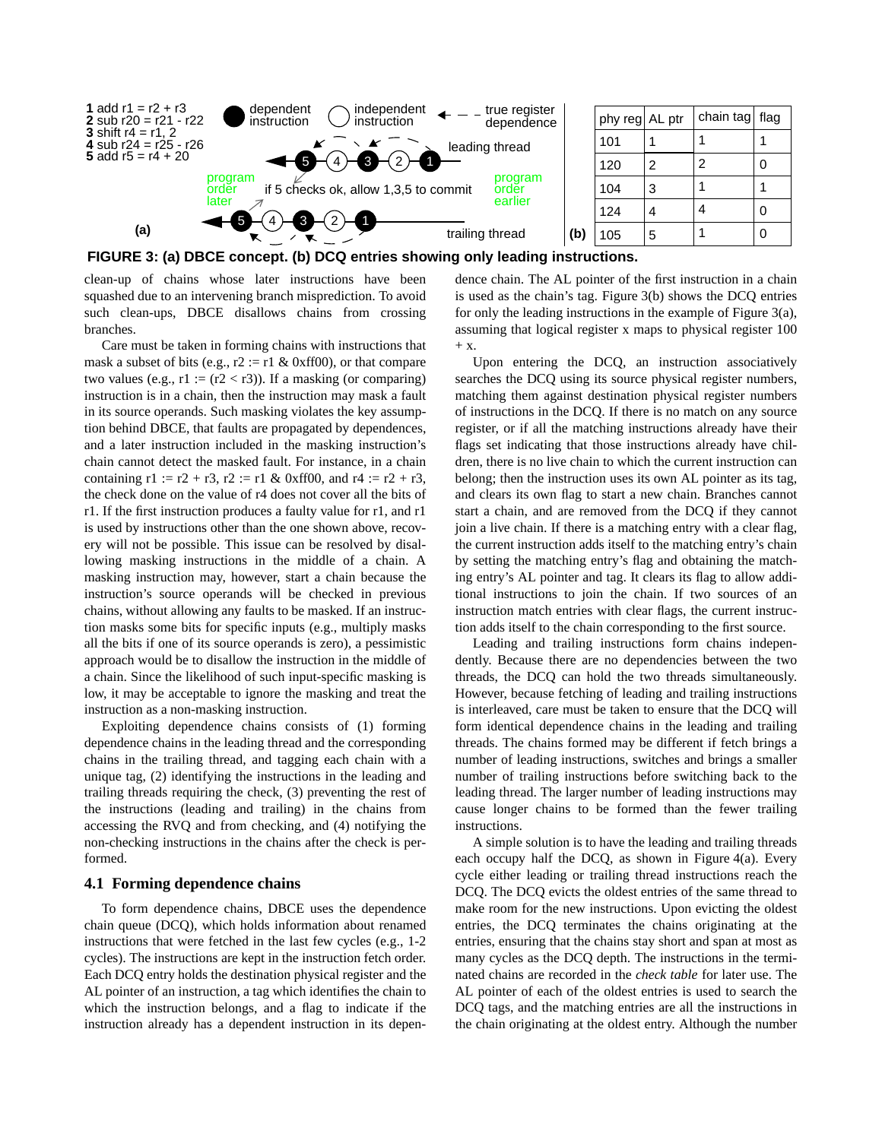

<span id="page-5-0"></span>

clean-up of chains whose later instructions have been squashed due to an intervening branch misprediction. To avoid such clean-ups, DBCE disallows chains from crossing branches.

Care must be taken in forming chains with instructions that mask a subset of bits (e.g.,  $r2 := r1 \& 0 \times r100$ ), or that compare two values (e.g.,  $r1 := (r2 < r3)$ ). If a masking (or comparing) instruction is in a chain, then the instruction may mask a fault in its source operands. Such masking violates the key assumption behind DBCE, that faults are propagated by dependences, and a later instruction included in the masking instruction's chain cannot detect the masked fault. For instance, in a chain containing  $r1 := r2 + r3$ ,  $r2 := r1$  & 0xff00, and  $r4 := r2 + r3$ , the check done on the value of r4 does not cover all the bits of r1. If the first instruction produces a faulty value for r1, and r1 is used by instructions other than the one shown above, recovery will not be possible. This issue can be resolved by disallowing masking instructions in the middle of a chain. A masking instruction may, however, start a chain because the instruction's source operands will be checked in previous chains, without allowing any faults to be masked. If an instruction masks some bits for specific inputs (e.g., multiply masks all the bits if one of its source operands is zero), a pessimistic approach would be to disallow the instruction in the middle of a chain. Since the likelihood of such input-specific masking is low, it may be acceptable to ignore the masking and treat the instruction as a non-masking instruction.

Exploiting dependence chains consists of (1) forming dependence chains in the leading thread and the corresponding chains in the trailing thread, and tagging each chain with a unique tag, (2) identifying the instructions in the leading and trailing threads requiring the check, (3) preventing the rest of the instructions (leading and trailing) in the chains from accessing the RVQ and from checking, and (4) notifying the non-checking instructions in the chains after the check is performed.

#### **4.1 Forming dependence chains**

To form dependence chains, DBCE uses the dependence chain queue (DCQ), which holds information about renamed instructions that were fetched in the last few cycles (e.g., 1-2 cycles). The instructions are kept in the instruction fetch order. Each DCQ entry holds the destination physical register and the AL pointer of an instruction, a tag which identifies the chain to which the instruction belongs, and a flag to indicate if the instruction already has a dependent instruction in its dependence chain. The AL pointer of the first instruction in a chain is used as the chain's tag. [Figure 3](#page-5-0)(b) shows the DCQ entries for only the leading instructions in the example of [Figure 3\(](#page-5-0)a), assuming that logical register x maps to physical register 100  $+ x.$ 

Upon entering the DCQ, an instruction associatively searches the DCQ using its source physical register numbers, matching them against destination physical register numbers of instructions in the DCQ. If there is no match on any source register, or if all the matching instructions already have their flags set indicating that those instructions already have children, there is no live chain to which the current instruction can belong; then the instruction uses its own AL pointer as its tag, and clears its own flag to start a new chain. Branches cannot start a chain, and are removed from the DCQ if they cannot join a live chain. If there is a matching entry with a clear flag, the current instruction adds itself to the matching entry's chain by setting the matching entry's flag and obtaining the matching entry's AL pointer and tag. It clears its flag to allow additional instructions to join the chain. If two sources of an instruction match entries with clear flags, the current instruction adds itself to the chain corresponding to the first source.

Leading and trailing instructions form chains independently. Because there are no dependencies between the two threads, the DCQ can hold the two threads simultaneously. However, because fetching of leading and trailing instructions is interleaved, care must be taken to ensure that the DCQ will form identical dependence chains in the leading and trailing threads. The chains formed may be different if fetch brings a number of leading instructions, switches and brings a smaller number of trailing instructions before switching back to the leading thread. The larger number of leading instructions may cause longer chains to be formed than the fewer trailing instructions.

A simple solution is to have the leading and trailing threads each occupy half the DCQ, as shown in [Figure 4\(](#page-6-0)a). Every cycle either leading or trailing thread instructions reach the DCQ. The DCQ evicts the oldest entries of the same thread to make room for the new instructions. Upon evicting the oldest entries, the DCQ terminates the chains originating at the entries, ensuring that the chains stay short and span at most as many cycles as the DCQ depth. The instructions in the terminated chains are recorded in the *check table* for later use. The AL pointer of each of the oldest entries is used to search the DCQ tags, and the matching entries are all the instructions in the chain originating at the oldest entry. Although the number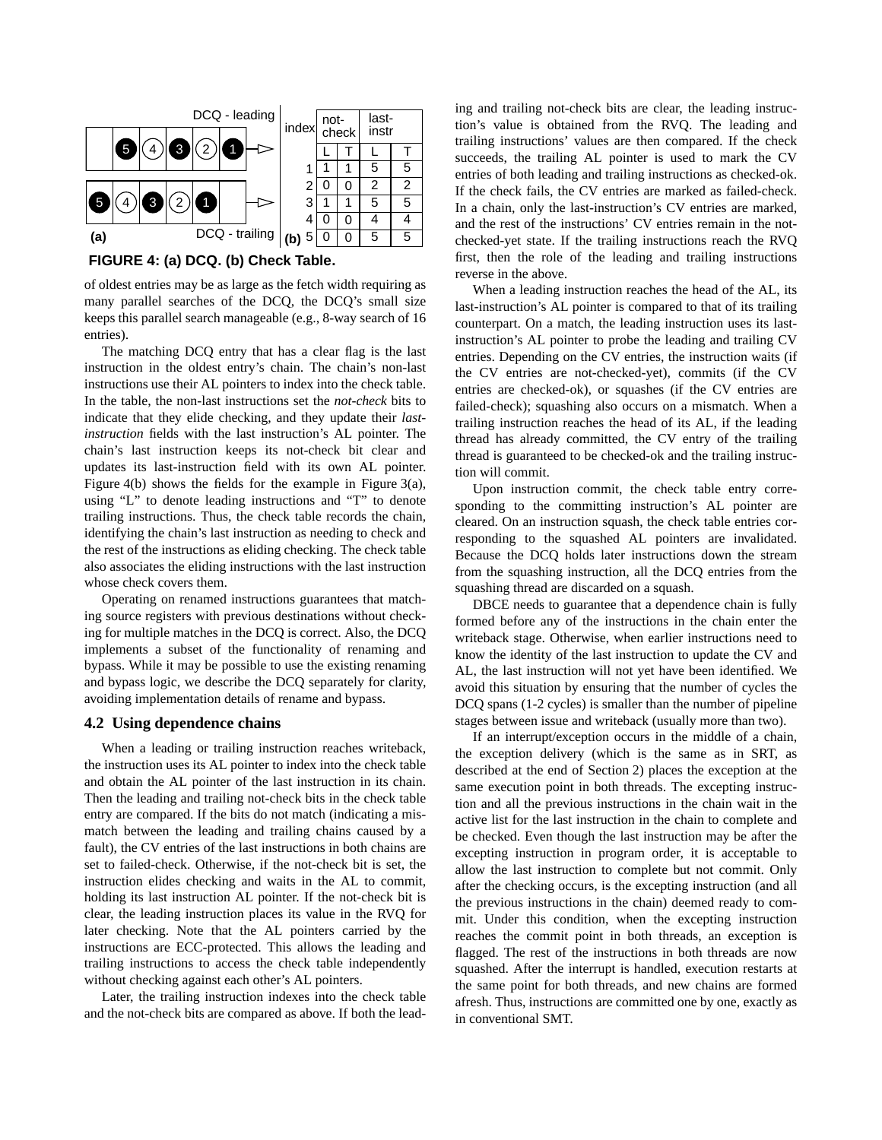

<span id="page-6-0"></span>**FIGURE 4: (a) DCQ. (b) Check Table.**

of oldest entries may be as large as the fetch width requiring as many parallel searches of the DCQ, the DCQ's small size keeps this parallel search manageable (e.g., 8-way search of 16 entries).

The matching DCQ entry that has a clear flag is the last instruction in the oldest entry's chain. The chain's non-last instructions use their AL pointers to index into the check table. In the table, the non-last instructions set the *not-check* bits to indicate that they elide checking, and they update their *lastinstruction* fields with the last instruction's AL pointer. The chain's last instruction keeps its not-check bit clear and updates its last-instruction field with its own AL pointer. [Figure 4](#page-6-0)(b) shows the fields for the example in [Figure 3\(](#page-5-0)a), using "L" to denote leading instructions and "T" to denote trailing instructions. Thus, the check table records the chain, identifying the chain's last instruction as needing to check and the rest of the instructions as eliding checking. The check table also associates the eliding instructions with the last instruction whose check covers them.

Operating on renamed instructions guarantees that matching source registers with previous destinations without checking for multiple matches in the DCQ is correct. Also, the DCQ implements a subset of the functionality of renaming and bypass. While it may be possible to use the existing renaming and bypass logic, we describe the DCQ separately for clarity, avoiding implementation details of rename and bypass.

#### **4.2 Using dependence chains**

When a leading or trailing instruction reaches writeback, the instruction uses its AL pointer to index into the check table and obtain the AL pointer of the last instruction in its chain. Then the leading and trailing not-check bits in the check table entry are compared. If the bits do not match (indicating a mismatch between the leading and trailing chains caused by a fault), the CV entries of the last instructions in both chains are set to failed-check. Otherwise, if the not-check bit is set, the instruction elides checking and waits in the AL to commit, holding its last instruction AL pointer. If the not-check bit is clear, the leading instruction places its value in the RVQ for later checking. Note that the AL pointers carried by the instructions are ECC-protected. This allows the leading and trailing instructions to access the check table independently without checking against each other's AL pointers.

Later, the trailing instruction indexes into the check table and the not-check bits are compared as above. If both the leading and trailing not-check bits are clear, the leading instruction's value is obtained from the RVQ. The leading and trailing instructions' values are then compared. If the check succeeds, the trailing AL pointer is used to mark the CV entries of both leading and trailing instructions as checked-ok. If the check fails, the CV entries are marked as failed-check. In a chain, only the last-instruction's CV entries are marked, and the rest of the instructions' CV entries remain in the notchecked-yet state. If the trailing instructions reach the RVQ first, then the role of the leading and trailing instructions reverse in the above.

When a leading instruction reaches the head of the AL, its last-instruction's AL pointer is compared to that of its trailing counterpart. On a match, the leading instruction uses its lastinstruction's AL pointer to probe the leading and trailing CV entries. Depending on the CV entries, the instruction waits (if the CV entries are not-checked-yet), commits (if the CV entries are checked-ok), or squashes (if the CV entries are failed-check); squashing also occurs on a mismatch. When a trailing instruction reaches the head of its AL, if the leading thread has already committed, the CV entry of the trailing thread is guaranteed to be checked-ok and the trailing instruction will commit.

Upon instruction commit, the check table entry corresponding to the committing instruction's AL pointer are cleared. On an instruction squash, the check table entries corresponding to the squashed AL pointers are invalidated. Because the DCQ holds later instructions down the stream from the squashing instruction, all the DCQ entries from the squashing thread are discarded on a squash.

DBCE needs to guarantee that a dependence chain is fully formed before any of the instructions in the chain enter the writeback stage. Otherwise, when earlier instructions need to know the identity of the last instruction to update the CV and AL, the last instruction will not yet have been identified. We avoid this situation by ensuring that the number of cycles the DCQ spans (1-2 cycles) is smaller than the number of pipeline stages between issue and writeback (usually more than two).

If an interrupt/exception occurs in the middle of a chain, the exception delivery (which is the same as in SRT, as described at the end of [Section 2\)](#page-1-0) places the exception at the same execution point in both threads. The excepting instruction and all the previous instructions in the chain wait in the active list for the last instruction in the chain to complete and be checked. Even though the last instruction may be after the excepting instruction in program order, it is acceptable to allow the last instruction to complete but not commit. Only after the checking occurs, is the excepting instruction (and all the previous instructions in the chain) deemed ready to commit. Under this condition, when the excepting instruction reaches the commit point in both threads, an exception is flagged. The rest of the instructions in both threads are now squashed. After the interrupt is handled, execution restarts at the same point for both threads, and new chains are formed afresh. Thus, instructions are committed one by one, exactly as in conventional SMT.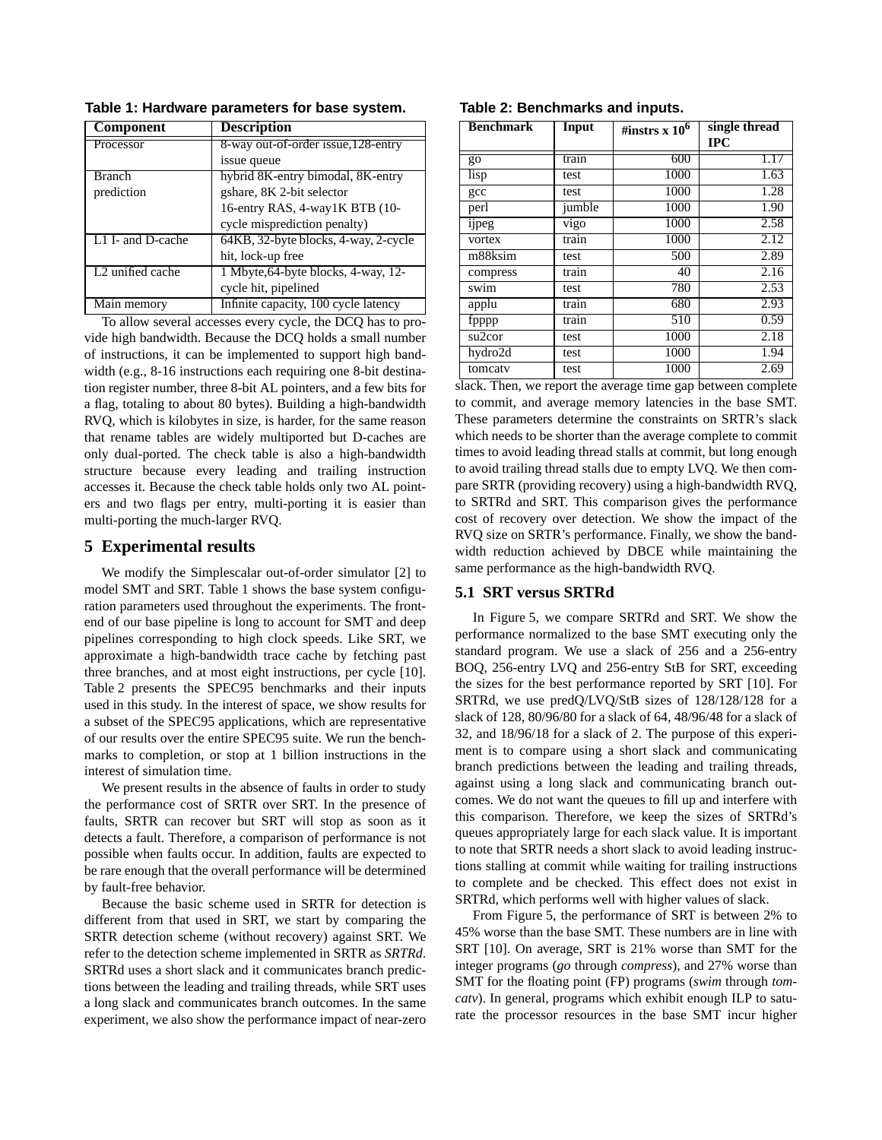| Component         | <b>Description</b>                   |  |
|-------------------|--------------------------------------|--|
| Processor         | 8-way out-of-order issue, 128-entry  |  |
|                   | issue queue                          |  |
| <b>Branch</b>     | hybrid 8K-entry bimodal, 8K-entry    |  |
| prediction        | gshare, 8K 2-bit selector            |  |
|                   | 16-entry RAS, 4-way1K BTB (10-       |  |
|                   | cycle misprediction penalty)         |  |
| L1 I- and D-cache | 64KB, 32-byte blocks, 4-way, 2-cycle |  |
|                   | hit, lock-up free                    |  |
| L2 unified cache  | 1 Mbyte, 64-byte blocks, 4-way, 12-  |  |
|                   | cycle hit, pipelined                 |  |
| Main memory       | Infinite capacity, 100 cycle latency |  |

<span id="page-7-1"></span>**Table 1: Hardware parameters for base system.**

To allow several accesses every cycle, the DCQ has to provide high bandwidth. Because the DCQ holds a small number of instructions, it can be implemented to support high bandwidth (e.g., 8-16 instructions each requiring one 8-bit destination register number, three 8-bit AL pointers, and a few bits for a flag, totaling to about 80 bytes). Building a high-bandwidth RVQ, which is kilobytes in size, is harder, for the same reason that rename tables are widely multiported but D-caches are only dual-ported. The check table is also a high-bandwidth structure because every leading and trailing instruction accesses it. Because the check table holds only two AL pointers and two flags per entry, multi-porting it is easier than multi-porting the much-larger RVQ.

## <span id="page-7-0"></span>**5 Experimental results**

We modify the Simplescalar out-of-order simulator [2] to model SMT and SRT. [Table 1](#page-7-1) shows the base system configuration parameters used throughout the experiments. The frontend of our base pipeline is long to account for SMT and deep pipelines corresponding to high clock speeds. Like SRT, we approximate a high-bandwidth trace cache by fetching past three branches, and at most eight instructions, per cycle [10]. [Table 2](#page-7-2) presents the SPEC95 benchmarks and their inputs used in this study. In the interest of space, we show results for a subset of the SPEC95 applications, which are representative of our results over the entire SPEC95 suite. We run the benchmarks to completion, or stop at 1 billion instructions in the interest of simulation time.

We present results in the absence of faults in order to study the performance cost of SRTR over SRT. In the presence of faults, SRTR can recover but SRT will stop as soon as it detects a fault. Therefore, a comparison of performance is not possible when faults occur. In addition, faults are expected to be rare enough that the overall performance will be determined by fault-free behavior.

Because the basic scheme used in SRTR for detection is different from that used in SRT, we start by comparing the SRTR detection scheme (without recovery) against SRT. We refer to the detection scheme implemented in SRTR as *SRTRd*. SRTRd uses a short slack and it communicates branch predictions between the leading and trailing threads, while SRT uses a long slack and communicates branch outcomes. In the same experiment, we also show the performance impact of near-zero

<span id="page-7-2"></span>**Table 2: Benchmarks and inputs.**

| <b>Benchmark</b>    | Input  | #instrs x $10^6$ | single thread |
|---------------------|--------|------------------|---------------|
|                     |        |                  | <b>IPC</b>    |
| $g_{0}$             | train  | 600              | 1.17          |
| lisp                | test   | 1000             | 1.63          |
| gcc                 | test   | 1000             | 1.28          |
| perl                | jumble | 1000             | 1.90          |
| ijpeg               | vigo   | 1000             | 2.58          |
| vortex              | train  | 1000             | 2.12          |
| m88ksim             | test   | 500              | 2.89          |
| compress            | train  | 40               | 2.16          |
| swim                | test   | 780              | 2.53          |
| applu               | train  | 680              | 2.93          |
| fpppp               | train  | $\overline{510}$ | 0.59          |
| su <sub>2</sub> cor | test   | 1000             | 2.18          |
| hydro2d             | test   | 1000             | 1.94          |
| tomcaty             | test   | 1000             | 2.69          |

slack. Then, we report the average time gap between complete to commit, and average memory latencies in the base SMT. These parameters determine the constraints on SRTR's slack which needs to be shorter than the average complete to commit times to avoid leading thread stalls at commit, but long enough to avoid trailing thread stalls due to empty LVQ. We then compare SRTR (providing recovery) using a high-bandwidth RVQ, to SRTRd and SRT. This comparison gives the performance cost of recovery over detection. We show the impact of the RVQ size on SRTR's performance. Finally, we show the bandwidth reduction achieved by DBCE while maintaining the same performance as the high-bandwidth RVQ.

# <span id="page-7-3"></span>**5.1 SRT versus SRTRd**

In [Figure 5](#page-8-0), we compare SRTRd and SRT. We show the performance normalized to the base SMT executing only the standard program. We use a slack of 256 and a 256-entry BOQ, 256-entry LVQ and 256-entry StB for SRT, exceeding the sizes for the best performance reported by SRT [10]. For SRTRd, we use predQ/LVQ/StB sizes of 128/128/128 for a slack of 128, 80/96/80 for a slack of 64, 48/96/48 for a slack of 32, and 18/96/18 for a slack of 2. The purpose of this experiment is to compare using a short slack and communicating branch predictions between the leading and trailing threads, against using a long slack and communicating branch outcomes. We do not want the queues to fill up and interfere with this comparison. Therefore, we keep the sizes of SRTRd's queues appropriately large for each slack value. It is important to note that SRTR needs a short slack to avoid leading instructions stalling at commit while waiting for trailing instructions to complete and be checked. This effect does not exist in SRTRd, which performs well with higher values of slack.

From [Figure 5,](#page-8-0) the performance of SRT is between 2% to 45% worse than the base SMT. These numbers are in line with SRT [10]. On average, SRT is 21% worse than SMT for the integer programs (*go* through *compress*), and 27% worse than SMT for the floating point (FP) programs (*swim* through *tomcatv*). In general, programs which exhibit enough ILP to saturate the processor resources in the base SMT incur higher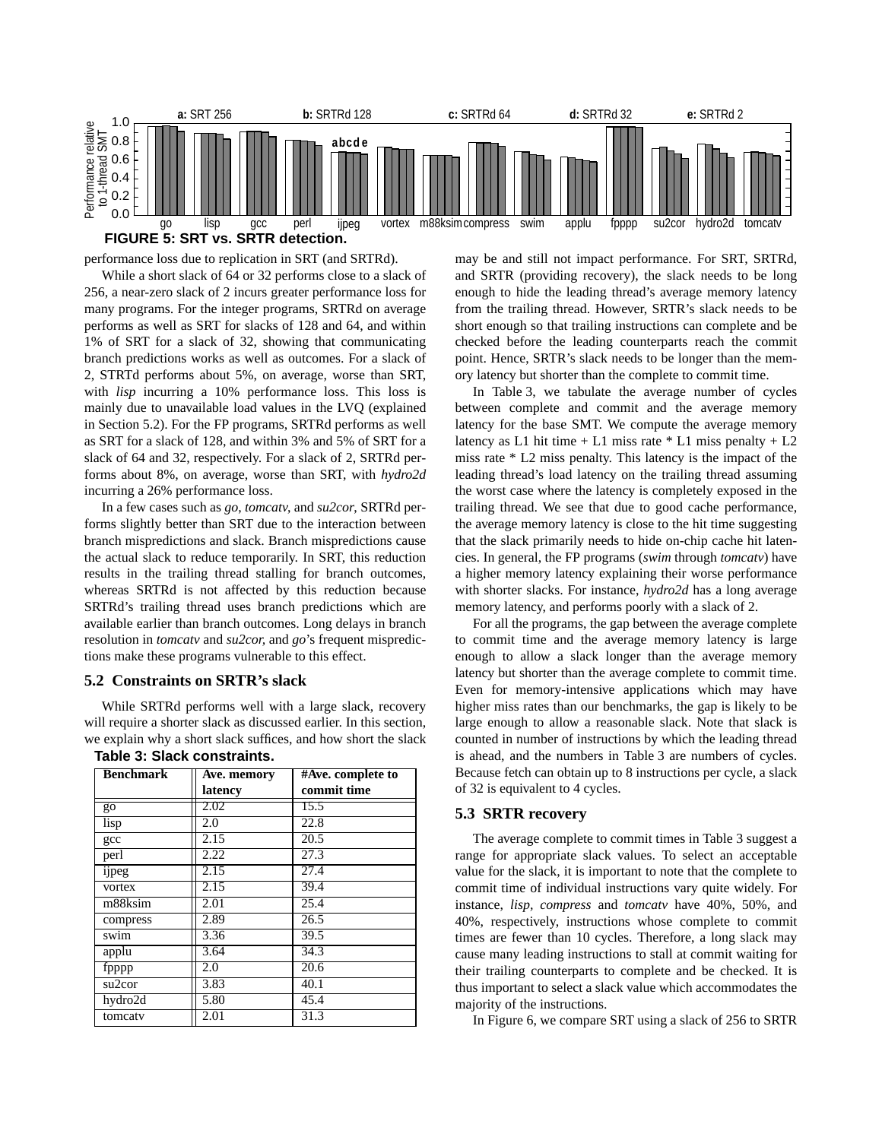

<span id="page-8-0"></span>performance loss due to replication in SRT (and SRTRd).

While a short slack of 64 or 32 performs close to a slack of 256, a near-zero slack of 2 incurs greater performance loss for many programs. For the integer programs, SRTRd on average performs as well as SRT for slacks of 128 and 64, and within 1% of SRT for a slack of 32, showing that communicating branch predictions works as well as outcomes. For a slack of 2, STRTd performs about 5%, on average, worse than SRT, with *lisp* incurring a 10% performance loss. This loss is mainly due to unavailable load values in the LVQ (explained in [Section 5.2](#page-8-1)). For the FP programs, SRTRd performs as well as SRT for a slack of 128, and within 3% and 5% of SRT for a slack of 64 and 32, respectively. For a slack of 2, SRTRd performs about 8%, on average, worse than SRT, with *hydro2d* incurring a 26% performance loss.

In a few cases such as *go*, *tomcatv*, and *su2cor*, SRTRd performs slightly better than SRT due to the interaction between branch mispredictions and slack. Branch mispredictions cause the actual slack to reduce temporarily. In SRT, this reduction results in the trailing thread stalling for branch outcomes, whereas SRTRd is not affected by this reduction because SRTRd's trailing thread uses branch predictions which are available earlier than branch outcomes. Long delays in branch resolution in *tomcatv* and *su2cor,* and *go*'s frequent mispredictions make these programs vulnerable to this effect.

## <span id="page-8-1"></span>**5.2 Constraints on SRTR's slack**

While SRTRd performs well with a large slack, recovery will require a shorter slack as discussed earlier. In this section, we explain why a short slack suffices, and how short the slack

| <b>Benchmark</b>    | Ave. memory | #Ave. complete to |  |
|---------------------|-------------|-------------------|--|
|                     | latency     | commit time       |  |
| go                  | 2.02        | 15.5              |  |
| lisp                | 2.0         | $\overline{22.8}$ |  |
| gcc                 | 2.15        | 20.5              |  |
| perl                | 2.22        | 27.3              |  |
| ijpeg               | 2.15        | 27.4              |  |
| vortex              | 2.15        | 39.4              |  |
| m88ksim             | 2.01        | 25.4              |  |
| compress            | 2.89        | 26.5              |  |
| swim                | 3.36        | 39.5              |  |
| applu               | 3.64        | 34.3              |  |
| fpppp               | 2.0         | 20.6              |  |
| su <sub>2</sub> cor | 3.83        | 40.1              |  |
| hydro2d             | 5.80        | 45.4              |  |
| tomcaty             | 2.01        | $\overline{31.3}$ |  |

<span id="page-8-2"></span>

may be and still not impact performance. For SRT, SRTRd, and SRTR (providing recovery), the slack needs to be long enough to hide the leading thread's average memory latency from the trailing thread. However, SRTR's slack needs to be short enough so that trailing instructions can complete and be checked before the leading counterparts reach the commit point. Hence, SRTR's slack needs to be longer than the memory latency but shorter than the complete to commit time.

In [Table 3,](#page-8-2) we tabulate the average number of cycles between complete and commit and the average memory latency for the base SMT. We compute the average memory latency as L1 hit time  $+ L1$  miss rate  $* L1$  miss penalty  $+ L2$ miss rate \* L2 miss penalty. This latency is the impact of the leading thread's load latency on the trailing thread assuming the worst case where the latency is completely exposed in the trailing thread. We see that due to good cache performance, the average memory latency is close to the hit time suggesting that the slack primarily needs to hide on-chip cache hit latencies. In general, the FP programs (*swim* through *tomcatv*) have a higher memory latency explaining their worse performance with shorter slacks. For instance, *hydro2d* has a long average memory latency, and performs poorly with a slack of 2.

For all the programs, the gap between the average complete to commit time and the average memory latency is large enough to allow a slack longer than the average memory latency but shorter than the average complete to commit time. Even for memory-intensive applications which may have higher miss rates than our benchmarks, the gap is likely to be large enough to allow a reasonable slack. Note that slack is counted in number of instructions by which the leading thread is ahead, and the numbers in [Table 3](#page-8-2) are numbers of cycles. Because fetch can obtain up to 8 instructions per cycle, a slack of 32 is equivalent to 4 cycles.

#### **5.3 SRTR recovery**

The average complete to commit times in [Table 3](#page-8-2) suggest a range for appropriate slack values. To select an acceptable value for the slack, it is important to note that the complete to commit time of individual instructions vary quite widely. For instance, *lisp, compress* and *tomcatv* have 40%, 50%, and 40%, respectively, instructions whose complete to commit times are fewer than 10 cycles. Therefore, a long slack may cause many leading instructions to stall at commit waiting for their trailing counterparts to complete and be checked. It is thus important to select a slack value which accommodates the majority of the instructions.

In [Figure 6](#page-9-0), we compare SRT using a slack of 256 to SRTR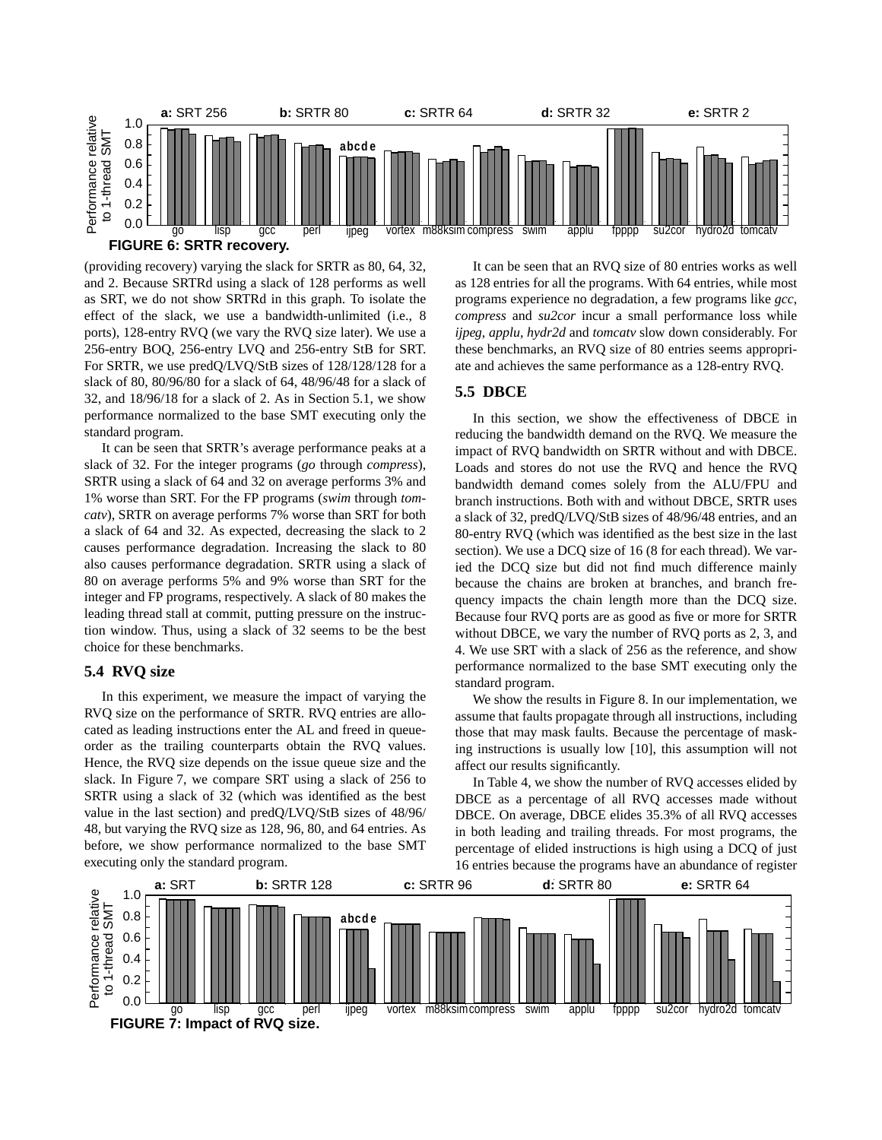

<span id="page-9-0"></span>(providing recovery) varying the slack for SRTR as 80, 64, 32, and 2. Because SRTRd using a slack of 128 performs as well as SRT, we do not show SRTRd in this graph. To isolate the effect of the slack, we use a bandwidth-unlimited (i.e., 8 ports), 128-entry RVQ (we vary the RVQ size later). We use a 256-entry BOQ, 256-entry LVQ and 256-entry StB for SRT. For SRTR, we use predQ/LVQ/StB sizes of 128/128/128 for a slack of 80, 80/96/80 for a slack of 64, 48/96/48 for a slack of 32, and 18/96/18 for a slack of 2. As in [Section 5.1,](#page-7-3) we show performance normalized to the base SMT executing only the standard program.

It can be seen that SRTR's average performance peaks at a slack of 32. For the integer programs (*go* through *compress*), SRTR using a slack of 64 and 32 on average performs 3% and 1% worse than SRT. For the FP programs (*swim* through *tomcatv*), SRTR on average performs 7% worse than SRT for both a slack of 64 and 32. As expected, decreasing the slack to 2 causes performance degradation. Increasing the slack to 80 also causes performance degradation. SRTR using a slack of 80 on average performs 5% and 9% worse than SRT for the integer and FP programs, respectively. A slack of 80 makes the leading thread stall at commit, putting pressure on the instruction window. Thus, using a slack of 32 seems to be the best choice for these benchmarks.

#### **5.4 RVQ size**

In this experiment, we measure the impact of varying the RVQ size on the performance of SRTR. RVQ entries are allocated as leading instructions enter the AL and freed in queueorder as the trailing counterparts obtain the RVQ values. Hence, the RVQ size depends on the issue queue size and the slack. In [Figure 7](#page-9-1), we compare SRT using a slack of 256 to SRTR using a slack of 32 (which was identified as the best value in the last section) and predQ/LVQ/StB sizes of 48/96/ 48, but varying the RVQ size as 128, 96, 80, and 64 entries. As before, we show performance normalized to the base SMT executing only the standard program.

It can be seen that an RVQ size of 80 entries works as well as 128 entries for all the programs. With 64 entries, while most programs experience no degradation, a few programs like *gcc*, *compress* and *su2cor* incur a small performance loss while *ijpeg*, *applu*, *hydr2d* and *tomcatv* slow down considerably. For these benchmarks, an RVQ size of 80 entries seems appropriate and achieves the same performance as a 128-entry RVQ.

#### **5.5 DBCE**

In this section, we show the effectiveness of DBCE in reducing the bandwidth demand on the RVQ. We measure the impact of RVQ bandwidth on SRTR without and with DBCE. Loads and stores do not use the RVQ and hence the RVQ bandwidth demand comes solely from the ALU/FPU and branch instructions. Both with and without DBCE, SRTR uses a slack of 32, predQ/LVQ/StB sizes of 48/96/48 entries, and an 80-entry RVQ (which was identified as the best size in the last section). We use a DCQ size of 16 (8 for each thread). We varied the DCQ size but did not find much difference mainly because the chains are broken at branches, and branch frequency impacts the chain length more than the DCQ size. Because four RVQ ports are as good as five or more for SRTR without DBCE, we vary the number of RVQ ports as 2, 3, and 4. We use SRT with a slack of 256 as the reference, and show performance normalized to the base SMT executing only the standard program.

We show the results in [Figure 8](#page-10-1). In our implementation, we assume that faults propagate through all instructions, including those that may mask faults. Because the percentage of masking instructions is usually low [10], this assumption will not affect our results significantly.

In [Table 4,](#page-10-2) we show the number of RVQ accesses elided by DBCE as a percentage of all RVQ accesses made without DBCE. On average, DBCE elides 35.3% of all RVQ accesses in both leading and trailing threads. For most programs, the percentage of elided instructions is high using a DCQ of just 16 entries because the programs have an abundance of register

<span id="page-9-1"></span>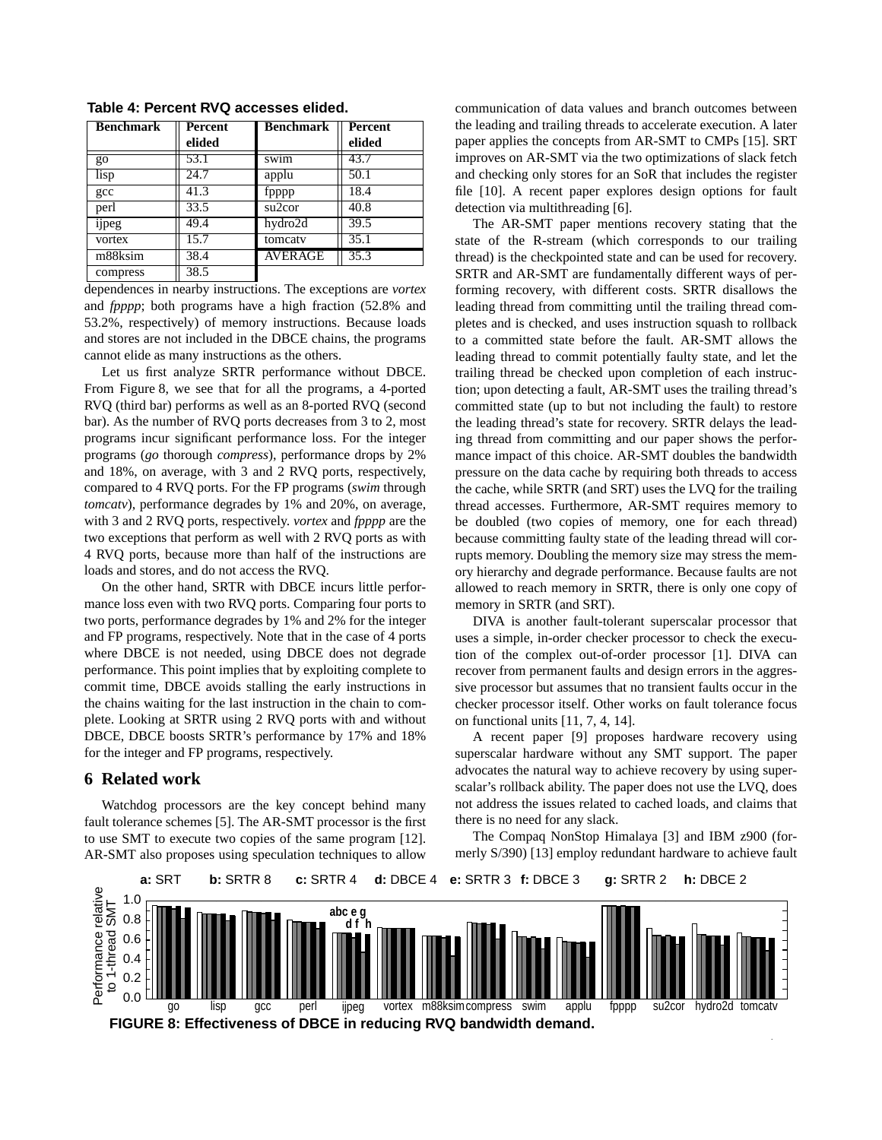| <b>Benchmark</b> | Percent           | <b>Benchmark</b>    | Percent           |
|------------------|-------------------|---------------------|-------------------|
|                  | elided            |                     | elided            |
| $g_{O}$          | 53.I              | swim                | 43.7              |
| lisp             | 24.7              | applu               | 50.1              |
| gcc              | $\overline{41.3}$ | fpppp               | 18.4              |
| perl             | 33.5              | su <sub>2</sub> cor | $\overline{40.8}$ |
| ijpeg            | 49.4              | hydro2d             | 39.5              |
| vortex           | 15.7              | tomcatv             | 35.1              |
| m88ksim          | 38.4              | <b>AVERAGE</b>      | 35.3              |
| compress         | 38.5              |                     |                   |

<span id="page-10-2"></span>**Table 4: Percent RVQ accesses elided.**

dependences in nearby instructions. The exceptions are *vortex* and *fpppp*; both programs have a high fraction (52.8% and 53.2%, respectively) of memory instructions. Because loads and stores are not included in the DBCE chains, the programs cannot elide as many instructions as the others.

Let us first analyze SRTR performance without DBCE. From [Figure 8,](#page-10-1) we see that for all the programs, a 4-ported RVQ (third bar) performs as well as an 8-ported RVQ (second bar). As the number of RVQ ports decreases from 3 to 2, most programs incur significant performance loss. For the integer programs (*go* thorough *compress*), performance drops by 2% and 18%, on average, with 3 and 2 RVQ ports, respectively, compared to 4 RVQ ports. For the FP programs (*swim* through *tomcatv*), performance degrades by 1% and 20%, on average, with 3 and 2 RVQ ports, respectively. *vortex* and *fpppp* are the two exceptions that perform as well with 2 RVQ ports as with 4 RVQ ports, because more than half of the instructions are loads and stores, and do not access the RVQ.

On the other hand, SRTR with DBCE incurs little performance loss even with two RVQ ports. Comparing four ports to two ports, performance degrades by 1% and 2% for the integer and FP programs, respectively. Note that in the case of 4 ports where DBCE is not needed, using DBCE does not degrade performance. This point implies that by exploiting complete to commit time, DBCE avoids stalling the early instructions in the chains waiting for the last instruction in the chain to complete. Looking at SRTR using 2 RVQ ports with and without DBCE, DBCE boosts SRTR's performance by 17% and 18% for the integer and FP programs, respectively.

## <span id="page-10-0"></span>**6 Related work**

Watchdog processors are the key concept behind many fault tolerance schemes [5]. The AR-SMT processor is the first to use SMT to execute two copies of the same program [12]. AR-SMT also proposes using speculation techniques to allow

communication of data values and branch outcomes between the leading and trailing threads to accelerate execution. A later paper applies the concepts from AR-SMT to CMPs [15]. SRT improves on AR-SMT via the two optimizations of slack fetch and checking only stores for an SoR that includes the register file [10]. A recent paper explores design options for fault detection via multithreading [6].

The AR-SMT paper mentions recovery stating that the state of the R-stream (which corresponds to our trailing thread) is the checkpointed state and can be used for recovery. SRTR and AR-SMT are fundamentally different ways of performing recovery, with different costs. SRTR disallows the leading thread from committing until the trailing thread completes and is checked, and uses instruction squash to rollback to a committed state before the fault. AR-SMT allows the leading thread to commit potentially faulty state, and let the trailing thread be checked upon completion of each instruction; upon detecting a fault, AR-SMT uses the trailing thread's committed state (up to but not including the fault) to restore the leading thread's state for recovery. SRTR delays the leading thread from committing and our paper shows the performance impact of this choice. AR-SMT doubles the bandwidth pressure on the data cache by requiring both threads to access the cache, while SRTR (and SRT) uses the LVQ for the trailing thread accesses. Furthermore, AR-SMT requires memory to be doubled (two copies of memory, one for each thread) because committing faulty state of the leading thread will corrupts memory. Doubling the memory size may stress the memory hierarchy and degrade performance. Because faults are not allowed to reach memory in SRTR, there is only one copy of memory in SRTR (and SRT).

DIVA is another fault-tolerant superscalar processor that uses a simple, in-order checker processor to check the execution of the complex out-of-order processor [1]. DIVA can recover from permanent faults and design errors in the aggressive processor but assumes that no transient faults occur in the checker processor itself. Other works on fault tolerance focus on functional units [11, 7, 4, 14].

A recent paper [9] proposes hardware recovery using superscalar hardware without any SMT support. The paper advocates the natural way to achieve recovery by using superscalar's rollback ability. The paper does not use the LVQ, does not address the issues related to cached loads, and claims that there is no need for any slack.

The Compaq NonStop Himalaya [3] and IBM z900 (formerly S/390) [13] employ redundant hardware to achieve fault

<span id="page-10-1"></span>